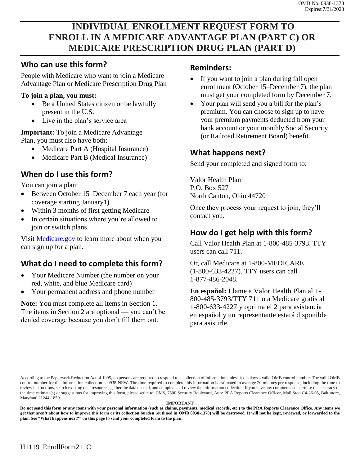# **INDIVIDUAL ENROLLMENT REQUEST FORM TO ENROLL IN A MEDICARE ADVANTAGE PLAN (PART C) OR MEDICARE PRESCRIPTION DRUG PLAN (PART D)**

### **Who can use this form?**

People with Medicare who want to join a Medicare Advantage Plan or Medicare Prescription Drug Plan

#### **To join a plan, you must:**

- Be a United States citizen or be lawfully present in the U.S.
- Live in the plan's service area

**Important:** To join a Medicare Advantage Plan, you must also have both:

- Medicare Part A (Hospital Insurance)
- Medicare Part B (Medical Insurance)

## **When do I use this form?**

You can join a plan:

- Between October 15–December 7 each year (for coverage starting January1)
- Within 3 months of first getting Medicare
- In certain situations where you're allowed to join or switch plans

Visit [Medicare.gov](http://Medicare.gov) to learn more about when you can sign up for a plan.

## **What do I need to complete this form?**

- Your Medicare Number (the number on your red, white, and blue Medicare card)
- Your permanent address and phone number

**Note:** You must complete all items in Section 1. The items in Section 2 are optional — you can't be denied coverage because you don't fill them out.

#### **Reminders:**

- If you want to join a plan during fall open enrollment (October 15–December 7), the plan must get your completed form by December 7.
- Your plan will send you a bill for the plan's premium. You can choose to sign up to have your premium payments deducted from your bank account or your monthly Social Security (or Railroad Retirement Board) benefit.

## **What happens next?**

Send your completed and signed form to:

Valor Health Plan P.O. Box 527 North Canton, Ohio 44720

Once they process your request to join, they'll contact you.

## **How do I get help with this form?**

Call Valor Health Plan at 1-800-485-3793. TTY users can call 711.

Or, call Medicare at 1-800-MEDICARE (1-800-633-4227). TTY users can call 1-877-486-2048.

**En español:** Llame a Valor Health Plan al 1- 800-485-3793/TTY 711 o a Medicare gratis al 1-800-633-4227 y oprima el 2 para asistencia en español y un representante estará disponible para asistirle.

According to the Paperwork Reduction Act of 1995, no persons are required to respond to a collection of information unless it displays a valid OMB control number. The valid OMB control number for this information collection is 0938-NEW. The time required to complete this information is estimated to average 20 minutes per response, including the time to review instructions, search existing data resources, gather the data needed, and complete and review the information collection. If you have any comments concerning the accuracy of the time estimate(s) or suggestions for improving this form, please write to: CMS, 7500 Security Boulevard, Attn: PRA Reports Clearance Officer, Mail Stop C4-26-05, Baltimore, Maryland 21244-1850.

#### **IMPORTANT**

**Do not send this form or any items with your personal information (such as claims, payments, medical records, etc.) to the PRA Reports Clearance Office. Any items we get that aren't about how to improve this form or its collection burden (outlined in OMB 0938-1378) will be destroyed. It will not be kept, reviewed, or forwarded to the plan. See "What happens next?" on this page to send your completed form to the plan.**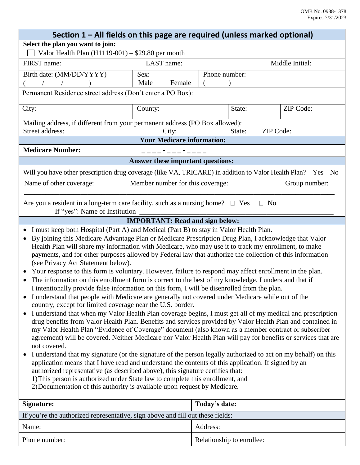| Section 1 – All fields on this page are required (unless marked optional)                                                                                                                                                                                                                                                                                                                                                                                                                                                                                                                                                                                                                                                                                                                                                                                                                                                                                                                                                                                                                                                                                                                                                                                                                                                                                                                                                                                                                                                                                                                                                                                                                                                                                                                                                                                                                   |                               |               |        |           |
|---------------------------------------------------------------------------------------------------------------------------------------------------------------------------------------------------------------------------------------------------------------------------------------------------------------------------------------------------------------------------------------------------------------------------------------------------------------------------------------------------------------------------------------------------------------------------------------------------------------------------------------------------------------------------------------------------------------------------------------------------------------------------------------------------------------------------------------------------------------------------------------------------------------------------------------------------------------------------------------------------------------------------------------------------------------------------------------------------------------------------------------------------------------------------------------------------------------------------------------------------------------------------------------------------------------------------------------------------------------------------------------------------------------------------------------------------------------------------------------------------------------------------------------------------------------------------------------------------------------------------------------------------------------------------------------------------------------------------------------------------------------------------------------------------------------------------------------------------------------------------------------------|-------------------------------|---------------|--------|-----------|
| Select the plan you want to join:                                                                                                                                                                                                                                                                                                                                                                                                                                                                                                                                                                                                                                                                                                                                                                                                                                                                                                                                                                                                                                                                                                                                                                                                                                                                                                                                                                                                                                                                                                                                                                                                                                                                                                                                                                                                                                                           |                               |               |        |           |
| Valor Health Plan $(H1119-001) - $29.80$ per month                                                                                                                                                                                                                                                                                                                                                                                                                                                                                                                                                                                                                                                                                                                                                                                                                                                                                                                                                                                                                                                                                                                                                                                                                                                                                                                                                                                                                                                                                                                                                                                                                                                                                                                                                                                                                                          |                               |               |        |           |
| FIRST name:                                                                                                                                                                                                                                                                                                                                                                                                                                                                                                                                                                                                                                                                                                                                                                                                                                                                                                                                                                                                                                                                                                                                                                                                                                                                                                                                                                                                                                                                                                                                                                                                                                                                                                                                                                                                                                                                                 | LAST name:<br>Middle Initial: |               |        |           |
| Birth date: (MM/DD/YYYY)                                                                                                                                                                                                                                                                                                                                                                                                                                                                                                                                                                                                                                                                                                                                                                                                                                                                                                                                                                                                                                                                                                                                                                                                                                                                                                                                                                                                                                                                                                                                                                                                                                                                                                                                                                                                                                                                    | Sex:                          | Phone number: |        |           |
|                                                                                                                                                                                                                                                                                                                                                                                                                                                                                                                                                                                                                                                                                                                                                                                                                                                                                                                                                                                                                                                                                                                                                                                                                                                                                                                                                                                                                                                                                                                                                                                                                                                                                                                                                                                                                                                                                             | Male<br>Female                |               |        |           |
| Permanent Residence street address (Don't enter a PO Box):                                                                                                                                                                                                                                                                                                                                                                                                                                                                                                                                                                                                                                                                                                                                                                                                                                                                                                                                                                                                                                                                                                                                                                                                                                                                                                                                                                                                                                                                                                                                                                                                                                                                                                                                                                                                                                  |                               |               |        |           |
| City:                                                                                                                                                                                                                                                                                                                                                                                                                                                                                                                                                                                                                                                                                                                                                                                                                                                                                                                                                                                                                                                                                                                                                                                                                                                                                                                                                                                                                                                                                                                                                                                                                                                                                                                                                                                                                                                                                       | County:                       |               | State: | ZIP Code: |
| Mailing address, if different from your permanent address (PO Box allowed):<br>Street address:<br>ZIP Code:<br>City:<br>State:                                                                                                                                                                                                                                                                                                                                                                                                                                                                                                                                                                                                                                                                                                                                                                                                                                                                                                                                                                                                                                                                                                                                                                                                                                                                                                                                                                                                                                                                                                                                                                                                                                                                                                                                                              |                               |               |        |           |
| <b>Your Medicare information:</b>                                                                                                                                                                                                                                                                                                                                                                                                                                                                                                                                                                                                                                                                                                                                                                                                                                                                                                                                                                                                                                                                                                                                                                                                                                                                                                                                                                                                                                                                                                                                                                                                                                                                                                                                                                                                                                                           |                               |               |        |           |
| <b>Medicare Number:</b><br>____ <b>*</b> ___ <b>*</b> ____                                                                                                                                                                                                                                                                                                                                                                                                                                                                                                                                                                                                                                                                                                                                                                                                                                                                                                                                                                                                                                                                                                                                                                                                                                                                                                                                                                                                                                                                                                                                                                                                                                                                                                                                                                                                                                  |                               |               |        |           |
| Answer these important questions:                                                                                                                                                                                                                                                                                                                                                                                                                                                                                                                                                                                                                                                                                                                                                                                                                                                                                                                                                                                                                                                                                                                                                                                                                                                                                                                                                                                                                                                                                                                                                                                                                                                                                                                                                                                                                                                           |                               |               |        |           |
| Will you have other prescription drug coverage (like VA, TRICARE) in addition to Valor Health Plan? Yes No                                                                                                                                                                                                                                                                                                                                                                                                                                                                                                                                                                                                                                                                                                                                                                                                                                                                                                                                                                                                                                                                                                                                                                                                                                                                                                                                                                                                                                                                                                                                                                                                                                                                                                                                                                                  |                               |               |        |           |
| Name of other coverage:<br>Member number for this coverage:<br>Group number:                                                                                                                                                                                                                                                                                                                                                                                                                                                                                                                                                                                                                                                                                                                                                                                                                                                                                                                                                                                                                                                                                                                                                                                                                                                                                                                                                                                                                                                                                                                                                                                                                                                                                                                                                                                                                |                               |               |        |           |
| Are you a resident in a long-term care facility, such as a nursing home? $\Box$ Yes<br>$\Box$ No<br>If "yes": Name of Institution                                                                                                                                                                                                                                                                                                                                                                                                                                                                                                                                                                                                                                                                                                                                                                                                                                                                                                                                                                                                                                                                                                                                                                                                                                                                                                                                                                                                                                                                                                                                                                                                                                                                                                                                                           |                               |               |        |           |
| <b>IMPORTANT: Read and sign below:</b>                                                                                                                                                                                                                                                                                                                                                                                                                                                                                                                                                                                                                                                                                                                                                                                                                                                                                                                                                                                                                                                                                                                                                                                                                                                                                                                                                                                                                                                                                                                                                                                                                                                                                                                                                                                                                                                      |                               |               |        |           |
| • I must keep both Hospital (Part A) and Medical (Part B) to stay in Valor Health Plan.<br>By joining this Medicare Advantage Plan or Medicare Prescription Drug Plan, I acknowledge that Valor<br>Health Plan will share my information with Medicare, who may use it to track my enrollment, to make<br>payments, and for other purposes allowed by Federal law that authorize the collection of this information<br>(see Privacy Act Statement below).<br>Your response to this form is voluntary. However, failure to respond may affect enrollment in the plan.<br>The information on this enrollment form is correct to the best of my knowledge. I understand that if<br>I intentionally provide false information on this form, I will be disenrolled from the plan.<br>I understand that people with Medicare are generally not covered under Medicare while out of the<br>country, except for limited coverage near the U.S. border.<br>I understand that when my Valor Health Plan coverage begins, I must get all of my medical and prescription<br>drug benefits from Valor Health Plan. Benefits and services provided by Valor Health Plan and contained in<br>my Valor Health Plan "Evidence of Coverage" document (also known as a member contract or subscriber<br>agreement) will be covered. Neither Medicare nor Valor Health Plan will pay for benefits or services that are<br>not covered.<br>I understand that my signature (or the signature of the person legally authorized to act on my behalf) on this<br>application means that I have read and understand the contents of this application. If signed by an<br>authorized representative (as described above), this signature certifies that:<br>1) This person is authorized under State law to complete this enrollment, and<br>2) Documentation of this authority is available upon request by Medicare. |                               |               |        |           |
| Signature:                                                                                                                                                                                                                                                                                                                                                                                                                                                                                                                                                                                                                                                                                                                                                                                                                                                                                                                                                                                                                                                                                                                                                                                                                                                                                                                                                                                                                                                                                                                                                                                                                                                                                                                                                                                                                                                                                  |                               | Today's date: |        |           |
| If you're the authorized representative, sign above and fill out these fields:                                                                                                                                                                                                                                                                                                                                                                                                                                                                                                                                                                                                                                                                                                                                                                                                                                                                                                                                                                                                                                                                                                                                                                                                                                                                                                                                                                                                                                                                                                                                                                                                                                                                                                                                                                                                              |                               |               |        |           |
| Name:                                                                                                                                                                                                                                                                                                                                                                                                                                                                                                                                                                                                                                                                                                                                                                                                                                                                                                                                                                                                                                                                                                                                                                                                                                                                                                                                                                                                                                                                                                                                                                                                                                                                                                                                                                                                                                                                                       |                               | Address:      |        |           |
|                                                                                                                                                                                                                                                                                                                                                                                                                                                                                                                                                                                                                                                                                                                                                                                                                                                                                                                                                                                                                                                                                                                                                                                                                                                                                                                                                                                                                                                                                                                                                                                                                                                                                                                                                                                                                                                                                             |                               |               |        |           |

Phone number: Relationship to enrollee: